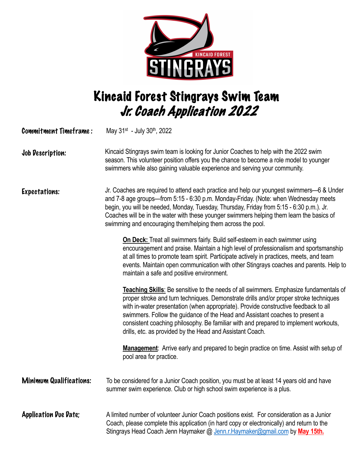

## Kincaid Forest Stingrays Swim Team Jr. Coach Application 2022

| <b>Commitment Timeframe:</b>   | May 31 <sup>st</sup> - July 30 <sup>th</sup> , 2022                                                                                                                                                                                                                                                                                                                                                                                                                                                        |
|--------------------------------|------------------------------------------------------------------------------------------------------------------------------------------------------------------------------------------------------------------------------------------------------------------------------------------------------------------------------------------------------------------------------------------------------------------------------------------------------------------------------------------------------------|
| Job Description:               | Kincaid Stingrays swim team is looking for Junior Coaches to help with the 2022 swim<br>season. This volunteer position offers you the chance to become a role model to younger<br>swimmers while also gaining valuable experience and serving your community.                                                                                                                                                                                                                                             |
| <b>Expectations:</b>           | Jr. Coaches are required to attend each practice and help our youngest swimmers-6 & Under<br>and 7-8 age groups-from 5:15 - 6:30 p.m. Monday-Friday. (Note: when Wednesday meets<br>begin, you will be needed, Monday, Tuesday, Thursday, Friday from 5:15 - 6:30 p.m.). Jr.<br>Coaches will be in the water with these younger swimmers helping them learn the basics of<br>swimming and encouraging them/helping them across the pool.                                                                   |
|                                | <b>On Deck:</b> Treat all swimmers fairly. Build self-esteem in each swimmer using<br>encouragement and praise. Maintain a high level of professionalism and sportsmanship<br>at all times to promote team spirit. Participate actively in practices, meets, and team<br>events. Maintain open communication with other Stingrays coaches and parents. Help to<br>maintain a safe and positive environment.                                                                                                |
|                                | Teaching Skills: Be sensitive to the needs of all swimmers. Emphasize fundamentals of<br>proper stroke and turn techniques. Demonstrate drills and/or proper stroke techniques<br>with in-water presentation (when appropriate). Provide constructive feedback to all<br>swimmers. Follow the guidance of the Head and Assistant coaches to present a<br>consistent coaching philosophy. Be familiar with and prepared to implement workouts,<br>drills, etc. as provided by the Head and Assistant Coach. |
|                                | <b>Management:</b> Arrive early and prepared to begin practice on time. Assist with setup of<br>pool area for practice.                                                                                                                                                                                                                                                                                                                                                                                    |
| <b>Minimum Qualifications:</b> | To be considered for a Junior Coach position, you must be at least 14 years old and have<br>summer swim experience. Club or high school swim experience is a plus.                                                                                                                                                                                                                                                                                                                                         |
| <b>Application Due Date:</b>   | A limited number of volunteer Junior Coach positions exist. For consideration as a Junior<br>Coach, please complete this application (in hard copy or electronically) and return to the<br>Stingrays Head Coach Jenn Haymaker @ Jenn.r. Haymaker@gmail.com by May 15th.                                                                                                                                                                                                                                    |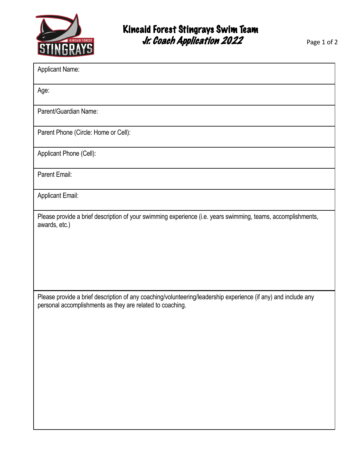

| <b>Applicant Name:</b>                                                                                                                                                      |
|-----------------------------------------------------------------------------------------------------------------------------------------------------------------------------|
| Age:                                                                                                                                                                        |
| Parent/Guardian Name:                                                                                                                                                       |
| Parent Phone (Circle: Home or Cell):                                                                                                                                        |
| Applicant Phone (Cell):                                                                                                                                                     |
| Parent Email:                                                                                                                                                               |
| <b>Applicant Email:</b>                                                                                                                                                     |
| Please provide a brief description of your swimming experience (i.e. years swimming, teams, accomplishments,<br>awards, etc.)                                               |
| Please provide a brief description of any coaching/volunteering/leadership experience (if any) and include any<br>personal accomplishments as they are related to coaching. |